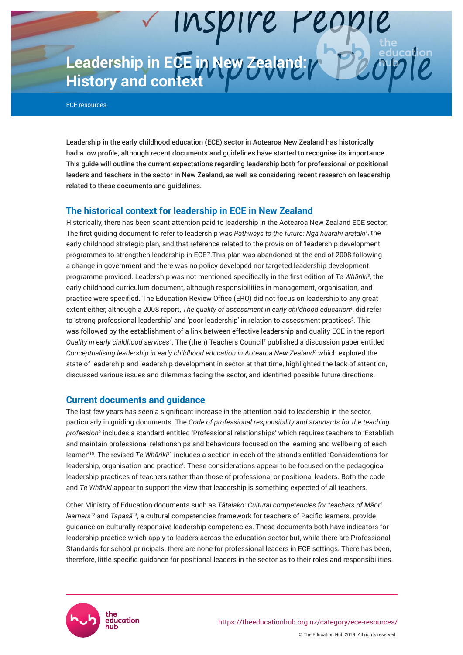**Leadership in ECE in New Zealand:** *APPLOT* **History and context**

ECE resources

Leadership in the early childhood education (ECE) sector in Aotearoa New Zealand has historically had a low profile, although recent documents and guidelines have started to recognise its importance. This guide will outline the current expectations regarding leadership both for professional or positional leaders and teachers in the sector in New Zealand, as well as considering recent research on leadership related to these documents and guidelines.

# **The historical context for leadership in ECE in New Zealand**

Historically, there has been scant attention paid to leadership in the Aotearoa New Zealand ECE sector. The first guiding document to refer to leadership was *Pathways to the future: Ngā huarahi arataki<sup>1</sup>* , the early childhood strategic plan, and that reference related to the provision of 'leadership development programmes to strengthen leadership in ECE'<sup>2</sup> .This plan was abandoned at the end of 2008 following a change in government and there was no policy developed nor targeted leadership development programme provided. Leadership was not mentioned specifically in the first edition of *Te Whāriki<sup>3</sup>* , the early childhood curriculum document, although responsibilities in management, organisation, and practice were specified. The Education Review Office (ERO) did not focus on leadership to any great extent either, although a 2008 report, *The quality of assessment in early childhood education<sup>4</sup>* , did refer to 'strong professional leadership' and 'poor leadership' in relation to assessment practices<sup>5</sup>. This was followed by the establishment of a link between effective leadership and quality ECE in the report *Quality in early childhood services<sup>6</sup>* . The (then) Teachers Council<sup>7</sup> published a discussion paper entitled *Conceptualising leadership in early childhood education in Aotearoa New Zealand<sup>8</sup>* which explored the state of leadership and leadership development in sector at that time, highlighted the lack of attention, discussed various issues and dilemmas facing the sector, and identified possible future directions.

## **Current documents and guidance**

The last few years has seen a significant increase in the attention paid to leadership in the sector, particularly in guiding documents. The *Code of professional responsibility and standards for the teaching profession<sup>9</sup>* includes a standard entitled 'Professional relationships' which requires teachers to 'Establish and maintain professional relationships and behaviours focused on the learning and wellbeing of each learner'<sup>10</sup>. The revised *Te Whāriki11* includes a section in each of the strands entitled 'Considerations for leadership, organisation and practice'. These considerations appear to be focused on the pedagogical leadership practices of teachers rather than those of professional or positional leaders. Both the code and *Te Whāriki* appear to support the view that leadership is something expected of all teachers.

Other Ministry of Education documents such as *Tātaiako*: *Cultural competencies for teachers of Māori learners<sup>12</sup>* and *Tapasā13*, a cultural competencies framework for teachers of Pacific learners, provide guidance on culturally responsive leadership competencies. These documents both have indicators for leadership practice which apply to leaders across the education sector but, while there are Professional Standards for school principals, there are none for professional leaders in ECE settings. There has been, therefore, little specific guidance for positional leaders in the sector as to their roles and responsibilities.

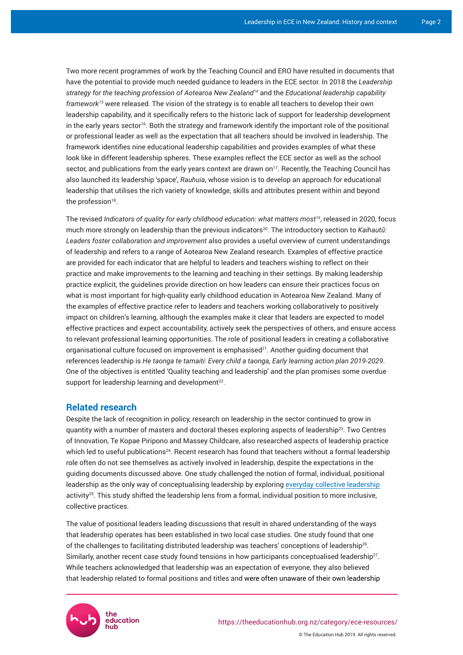Two more recent programmes of work by the Teaching Council and ERO have resulted in documents that have the potential to provide much needed guidance to leaders in the ECE sector. In 2018 the *Leadership strategy for the teaching profession of Aotearoa New Zealand<sup>14</sup>* and the *Educational leadership capability framework15* were released. The vision of the strategy is to enable all teachers to develop their own leadership capability, and it specifically refers to the historic lack of support for leadership development in the early years sector<sup>16</sup>. Both the strategy and framework identify the important role of the positional or professional leader as well as the expectation that all teachers should be involved in leadership. The framework identifies nine educational leadership capabilities and provides examples of what these look like in different leadership spheres. These examples reflect the ECE sector as well as the school sector, and publications from the early years context are drawn on<sup>17</sup>. Recently, the Teaching Council has also launched its leadership 'space', *Rauhuia*, whose vision is to develop an approach for educational leadership that utilises the rich variety of knowledge, skills and attributes present within and beyond the profession $^{18}$ .

The revised *Indicators of quality for early childhood education: what matters most19*, released in 2020, focus much more strongly on leadership than the previous indicators<sup>20</sup>. The introductory section to *Kaihautū*: *Leaders foster collaboration and improvement* also provides a useful overview of current understandings of leadership and refers to a range of Aotearoa New Zealand research. Examples of effective practice are provided for each indicator that are helpful to leaders and teachers wishing to reflect on their practice and make improvements to the learning and teaching in their settings. By making leadership practice explicit, the guidelines provide direction on how leaders can ensure their practices focus on what is most important for high-quality early childhood education in Aotearoa New Zealand. Many of the examples of effective practice refer to leaders and teachers working collaboratively to positively impact on children's learning, although the examples make it clear that leaders are expected to model effective practices and expect accountability, actively seek the perspectives of others, and ensure access to relevant professional learning opportunities. The role of positional leaders in creating a collaborative organisational culture focused on improvement is emphasised $2^1$ . Another guiding document that references leadership is *He taonga te tamaiti: Every child a taonga, Early learning action plan 2019-2029*. One of the objectives is entitled 'Quality teaching and leadership' and the plan promises some overdue support for leadership learning and development<sup>22</sup>.

# **Related research**

Despite the lack of recognition in policy, research on leadership in the sector continued to grow in quantity with a number of masters and doctoral theses exploring aspects of leadership<sup>23</sup>. Two Centres of Innovation, Te Kopae Piripono and Massey Childcare, also researched aspects of leadership practice which led to useful publications<sup>24</sup>. Recent research has found that teachers without a formal leadership role often do not see themselves as actively involved in leadership, despite the expectations in the guiding documents discussed above. One study challenged the notion of formal, individual, positional leadership as the only way of conceptualising leadership by exploring [everyday collective leadership](https://theeducationhub.org.nz/promoting-leaderful-practice-in-team-oriented-settings/) activity<sup>25</sup>. This study shifted the leadership lens from a formal, individual position to more inclusive, collective practices.

The value of positional leaders leading discussions that result in shared understanding of the ways that leadership operates has been established in two local case studies. One study found that one of the challenges to facilitating distributed leadership was teachers' conceptions of leadership $^{26}\cdot$ Similarly, another recent case study found tensions in how participants conceptualised leadership $27$ . While teachers acknowledged that leadership was an expectation of everyone, they also believed that leadership related to formal positions and titles and were often unaware of their own leadership

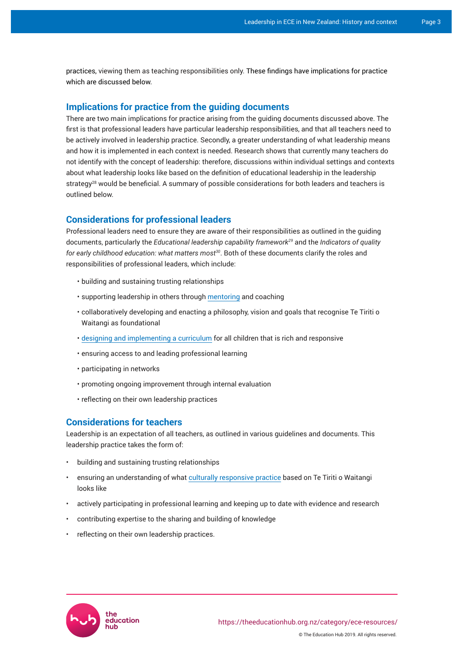practices, viewing them as teaching responsibilities only. These findings have implications for practice which are discussed below.

## **Implications for practice from the guiding documents**

There are two main implications for practice arising from the guiding documents discussed above. The first is that professional leaders have particular leadership responsibilities, and that all teachers need to be actively involved in leadership practice. Secondly, a greater understanding of what leadership means and how it is implemented in each context is needed. Research shows that currently many teachers do not identify with the concept of leadership: therefore, discussions within individual settings and contexts about what leadership looks like based on the definition of educational leadership in the leadership strategy<sup>28</sup> would be beneficial. A summary of possible considerations for both leaders and teachers is outlined below.

# **Considerations for professional leaders**

Professional leaders need to ensure they are aware of their responsibilities as outlined in the guiding documents, particularly the *Educational leadership capability framework<sup>29</sup>* and the *Indicators of quality for early childhood education: what matters most<sup>30</sup>*. Both of these documents clarify the roles and responsibilities of professional leaders, which include:

- building and sustaining trusting relationships
- supporting leadership in others through [mentoring](https://theeducationhub.org.nz/the-value-of-mentoring-for-teacher-learning/) and coaching
- collaboratively developing and enacting a philosophy, vision and goals that recognise Te Tiriti o Waitangi as foundational
- [designing and implementing a curriculum](https://theeducationhub.org.nz/designing-curriculum-effective-experiences-and-environments-for-early-childhood-education/) for all children that is rich and responsive
- ensuring access to and leading professional learning
- participating in networks
- promoting ongoing improvement through internal evaluation
- reflecting on their own leadership practices

# **Considerations for teachers**

Leadership is an expectation of all teachers, as outlined in various guidelines and documents. This leadership practice takes the form of:

- building and sustaining trusting relationships
- ensuring an understanding of what [culturally responsive practice](https://theeducationhub.org.nz/culturally-responsive-pedagogy-in-ece/) based on Te Tiriti o Waitangi looks like
- actively participating in professional learning and keeping up to date with evidence and research
- contributing expertise to the sharing and building of knowledge
- reflecting on their own leadership practices.

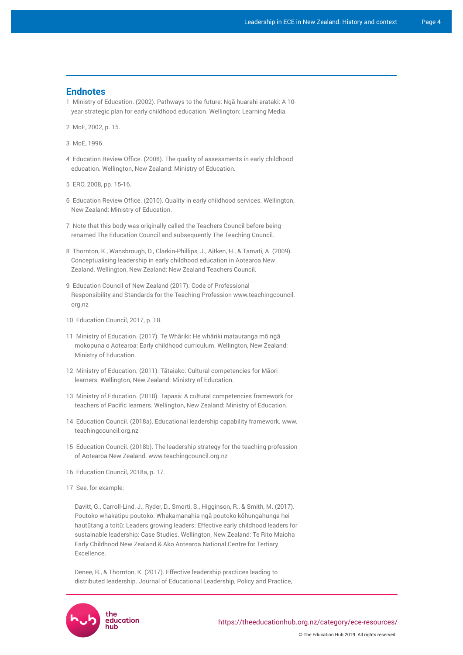## **Endnotes**

- 1 Ministry of Education. (2002). Pathways to the future: Ngā huarahi arataki: A 10 year strategic plan for early childhood education. Wellington: Learning Media.
- 2 MoE, 2002, p. 15.
- 3 MoE, 1996.
- 4 Education Review Office. (2008). The quality of assessments in early childhood education. Wellington, New Zealand: Ministry of Education.
- 5 ERO, 2008, pp. 15-16.
- 6 Education Review Office. (2010). Quality in early childhood services. Wellington, New Zealand: Ministry of Education.
- 7 Note that this body was originally called the Teachers Council before being renamed The Education Council and subsequently The Teaching Council.
- 8 Thornton, K., Wansbrough, D., Clarkin-Phillips, J., Aitken, H., & Tamati, A. (2009). Conceptualising leadership in early childhood education in Aotearoa New Zealand. Wellington, New Zealand: New Zealand Teachers Council.
- 9 Education Council of New Zealand (2017). Code of Professional Responsibility and Standards for the Teaching Profession [www.teachingcouncil.](http://www.teachingcouncil.org.nz) [org.nz](http://www.teachingcouncil.org.nz)
- 10 Education Council, 2017, p. 18.
- 11 Ministry of Education. (2017). Te Whāriki: He whāriki matauranga mō ngā mokopuna o Aotearoa: Early childhood curriculum. Wellington, New Zealand: Ministry of Education.
- 12 Ministry of Education. (2011). Tātaiako: Cultural competencies for Māori learners. Wellington, New Zealand: Ministry of Education.
- 13 Ministry of Education. (2018). Tapasā: A cultural competencies framework for teachers of Pacific learners. Wellington, New Zealand: Ministry of Education.
- 14 Education Council. (2018a). Educational leadership capability framework. [www.](http://www.teachingcouncil.org.nz) [teachingcouncil.org.nz](http://www.teachingcouncil.org.nz)
- 15 Education Council. (2018b). The leadership strategy for the teaching profession of Aotearoa New Zealand. [www.teachingcouncil.org.nz](http://www.teachingcouncil.org.nz)
- 16 Education Council, 2018a, p. 17.
- 17 See, for example:

Davitt, G., Carroll-Lind, J., Ryder, D., Smorti, S., Higginson, R., & Smith, M. (2017). Poutoko whakatipu poutoko: Whakamanahia ngā poutoko kōhungahunga hei hautūtang a toitū: Leaders growing leaders: Effective early childhood leaders for sustainable leadership: Case Studies. Wellington, New Zealand: Te Rito Maioha Early Childhood New Zealand & Ako Aotearoa National Centre for Tertiary Excellence.

Denee, R., & Thornton, K. (2017). Effective leadership practices leading to distributed leadership. Journal of Educational Leadership, Policy and Practice,

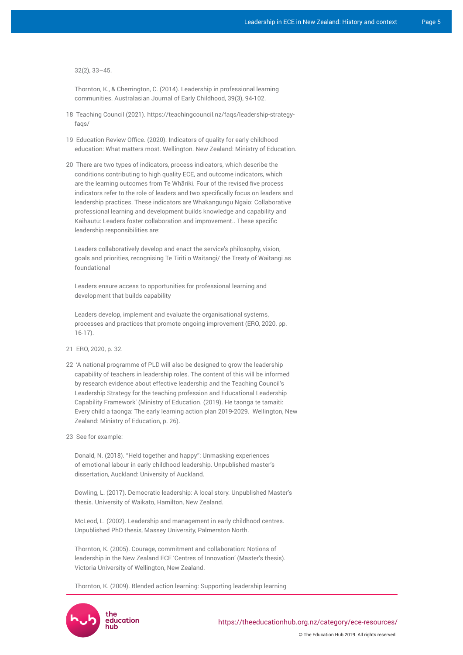32(2), 33–45.

Thornton, K., & Cherrington, C. (2014). Leadership in professional learning communities. Australasian Journal of Early Childhood, 39(3), 94-102.

- 18 Teaching Council (2021). [https://teachingcouncil.nz/faqs/leadership-strategy](https://teachingcouncil.nz/faqs/leadership-strategy-faqs/)[faqs/](https://teachingcouncil.nz/faqs/leadership-strategy-faqs/)
- 19 Education Review Office. (2020). Indicators of quality for early childhood education: What matters most. Wellington. New Zealand: Ministry of Education.
- 20 There are two types of indicators, process indicators, which describe the conditions contributing to high quality ECE, and outcome indicators, which are the learning outcomes from Te Whāriki. Four of the revised five process indicators refer to the role of leaders and two specifically focus on leaders and leadership practices. These indicators are Whakangungu Ngaio: Collaborative professional learning and development builds knowledge and capability and Kaihautū: Leaders foster collaboration and improvement.. These specific leadership responsibilities are:

Leaders collaboratively develop and enact the service's philosophy, vision, goals and priorities, recognising Te Tiriti o Waitangi/ the Treaty of Waitangi as foundational

Leaders ensure access to opportunities for professional learning and development that builds capability

Leaders develop, implement and evaluate the organisational systems, processes and practices that promote ongoing improvement (ERO, 2020, pp. 16-17).

- 21 ERO, 2020, p. 32.
- 22 'A national programme of PLD will also be designed to grow the leadership capability of teachers in leadership roles. The content of this will be informed by research evidence about effective leadership and the Teaching Council's Leadership Strategy for the teaching profession and Educational Leadership Capability Framework' (Ministry of Education. (2019). He taonga te tamaiti: Every child a taonga: The early learning action plan 2019-2029. Wellington, New Zealand: Ministry of Education, p. 26).
- 23 See for example:

Donald, N. (2018). "Held together and happy": Unmasking experiences of emotional labour in early childhood leadership. Unpublished master's dissertation, Auckland: University of Auckland.

Dowling, L. (2017). Democratic leadership: A local story. Unpublished Master's thesis. University of Waikato, Hamilton, New Zealand.

McLeod, L. (2002). Leadership and management in early childhood centres. Unpublished PhD thesis, Massey University, Palmerston North.

Thornton, K. (2005). Courage, commitment and collaboration: Notions of leadership in the New Zealand ECE 'Centres of Innovation' (Master's thesis). Victoria University of Wellington, New Zealand.

Thornton, K. (2009). Blended action learning: Supporting leadership learning